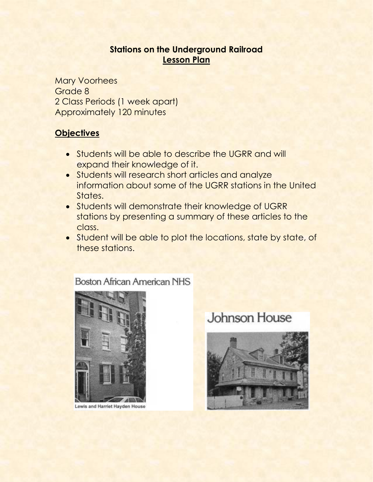## **Stations on the Underground Railroad Lesson Plan**

Mary Voorhees Grade 8 2 Class Periods (1 week apart) Approximately 120 minutes

### **Objectives**

- Students will be able to describe the UGRR and will expand their knowledge of it.
- **•** Students will research short articles and analyze information about some of the UGRR stations in the United States.
- **•** Students will demonstrate their knowledge of UGRR stations by presenting a summary of these articles to the class.
- **.** Student will be able to plot the locations, state by state, of these stations.

# **Boston African American NHS**



**Lewis and Harriet Hayden House** 

# **Johnson House**

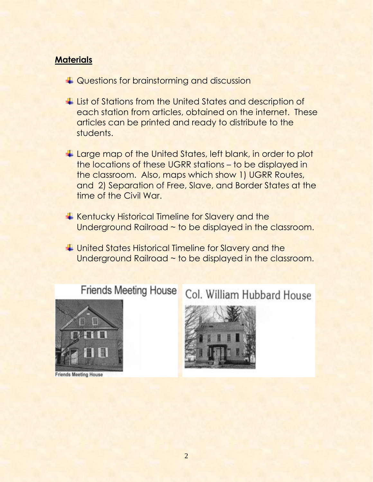## **Materials**

- $\overline{+}$  Questions for brainstorming and discussion
- ↓ List of Stations from the United States and description of each station from articles, obtained on the internet. These articles can be printed and ready to distribute to the students.
- ↓ Large map of the United States, left blank, in order to plot the locations of these UGRR stations – to be displayed in the classroom. Also, maps which show 1) UGRR Routes, and 2) Separation of Free, Slave, and Border States at the time of the Civil War.
- $\frac{1}{\sqrt{2}}$  Kentucky Historical Timeline for Slavery and the Underground Railroad ~ to be displayed in the classroom.
- United States Historical Timeline for Slavery and the Underground Railroad ~ to be displayed in the classroom.

**Friends Meeting House** 



**Friends Meeting House** 

# Col. William Hubbard House

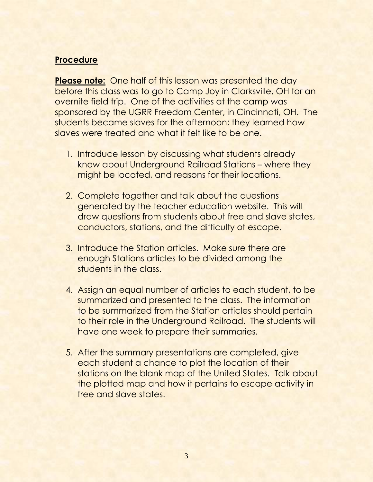#### **Procedure**

**Please note:** One half of this lesson was presented the day before this class was to go to Camp Joy in Clarksville, OH for an overnite field trip. One of the activities at the camp was sponsored by the UGRR Freedom Center, in Cincinnati, OH. The students became slaves for the afternoon; they learned how slaves were treated and what it felt like to be one.

- 1. Introduce lesson by discussing what students already know about Underground Railroad Stations – where they might be located, and reasons for their locations.
- 2. Complete together and talk about the questions generated by the teacher education website. This will draw questions from students about free and slave states, conductors, stations, and the difficulty of escape.
- 3. Introduce the Station articles. Make sure there are enough Stations articles to be divided among the students in the class.
- 4. Assign an equal number of articles to each student, to be summarized and presented to the class. The information to be summarized from the Station articles should pertain to their role in the Underground Railroad. The students will have one week to prepare their summaries.
- 5. After the summary presentations are completed, give each student a chance to plot the location of their stations on the blank map of the United States. Talk about the plotted map and how it pertains to escape activity in free and slave states.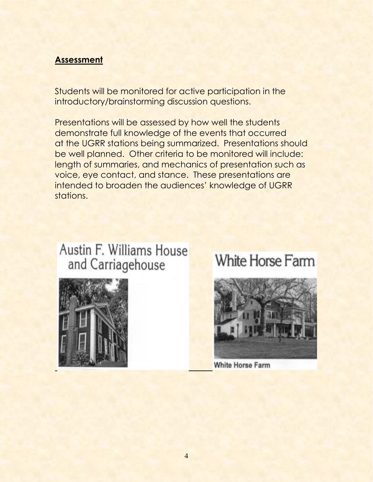## **Assessment**

Students will be monitored for active participation in the introductory/brainstorming discussion questions.

Presentations will be assessed by how well the students demonstrate full knowledge of the events that occurred at the UGRR stations being summarized. Presentations should be well planned. Other criteria to be monitored will include: length of summaries, and mechanics of presentation such as voice, eye contact, and stance. These presentations are intended to broaden the audiences' knowledge of UGRR stations.

# Austin F. Williams House and Carriagehouse



# White Horse Farm



**White Horse Farm**